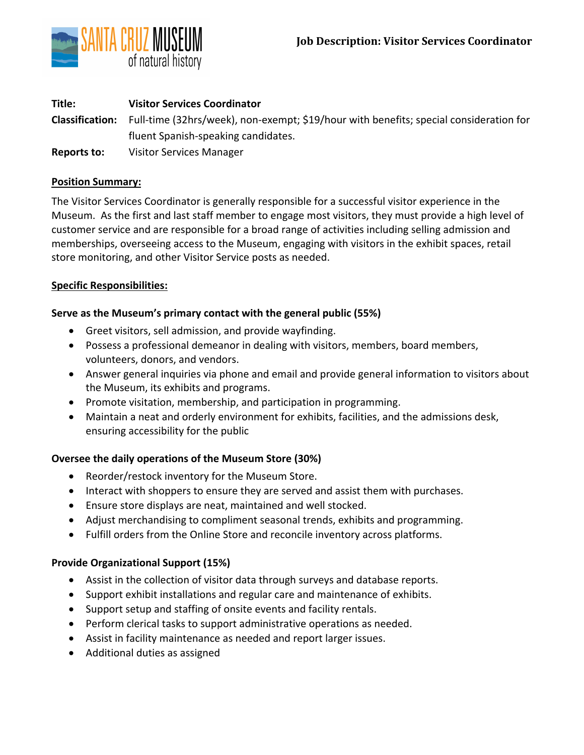

| Title:      | <b>Visitor Services Coordinator</b>                                                                    |
|-------------|--------------------------------------------------------------------------------------------------------|
|             | Classification: Full-time (32hrs/week), non-exempt; \$19/hour with benefits; special consideration for |
|             | fluent Spanish-speaking candidates.                                                                    |
| Reports to: | <b>Visitor Services Manager</b>                                                                        |

### **Position Summary:**

The Visitor Services Coordinator is generally responsible for a successful visitor experience in the Museum. As the first and last staff member to engage most visitors, they must provide a high level of customer service and are responsible for a broad range of activities including selling admission and memberships, overseeing access to the Museum, engaging with visitors in the exhibit spaces, retail store monitoring, and other Visitor Service posts as needed.

# **Specific Responsibilities:**

## **Serve as the Museum's primary contact with the general public (55%)**

- Greet visitors, sell admission, and provide wayfinding.
- Possess a professional demeanor in dealing with visitors, members, board members, volunteers, donors, and vendors.
- Answer general inquiries via phone and email and provide general information to visitors about the Museum, its exhibits and programs.
- Promote visitation, membership, and participation in programming.
- Maintain a neat and orderly environment for exhibits, facilities, and the admissions desk, ensuring accessibility for the public

# **Oversee the daily operations of the Museum Store (30%)**

- Reorder/restock inventory for the Museum Store.
- Interact with shoppers to ensure they are served and assist them with purchases.
- Ensure store displays are neat, maintained and well stocked.
- Adjust merchandising to compliment seasonal trends, exhibits and programming.
- Fulfill orders from the Online Store and reconcile inventory across platforms.

# **Provide Organizational Support (15%)**

- Assist in the collection of visitor data through surveys and database reports.
- Support exhibit installations and regular care and maintenance of exhibits.
- Support setup and staffing of onsite events and facility rentals.
- Perform clerical tasks to support administrative operations as needed.
- Assist in facility maintenance as needed and report larger issues.
- Additional duties as assigned